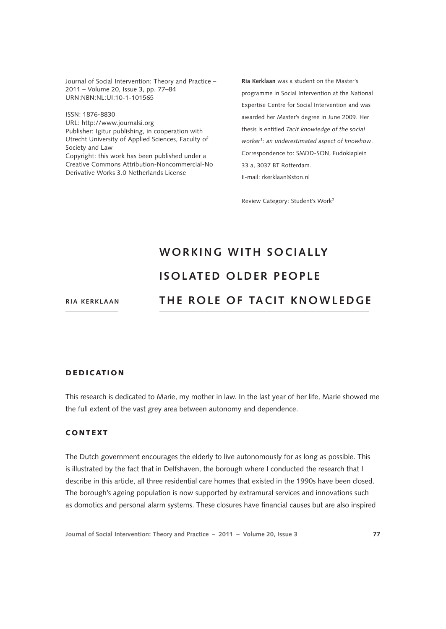Journal of Social Intervention: Theory and Practice – 2011 – Volume 20, Issue 3, pp. 77–84 URN:NBN:NL:UI:10-1-101565

ISSN: 1876-8830 [URL: http://www.journalsi.org](http://www.journalsi.org) Publisher: Igitur publishing, in cooperation with Utrecht University of Applied Sciences, Faculty of Society and Law Copyright: this work has been published under a Creative Commons Attribution-Noncommercial-No Derivative Works 3.0 Netherlands License

**Ria Kerklaan** was a student on the Master's programme in Social Intervention at the National Expertise Centre for Social Intervention and was awarded her Master's degree in June 2009. Her thesis is entitled *Tacit knowledge of the social worker*[1](#page-6-0)*: an underestimated aspect of knowhow*. Correspondence to: SMDD-SON, Eudokiaplein 33 a, 3037 BT Rotterdam. E-mail: [rkerklaan@ston.nl](mailto:rkerklaan@ston.nl)

Review Category: Student's Work[2](#page-6-1)

# **W o rkin g with s o cia l ly ISOLATED OLDER PEOPLE The r ole of ta cit kn owledge**

**Ria Kerklaan**

## **DEDICATION**

This research is dedicated to Marie, my mother in law. In the last year of her life, Marie showed me the full extent of the vast grey area between autonomy and dependence.

## **CONTEXT**

The Dutch government encourages the elderly to live autonomously for as long as possible. This is illustrated by the fact that in Delfshaven, the borough where I conducted the research that I describe in this article, all three residential care homes that existed in the 1990s have been closed. The borough's ageing population is now supported by extramural services and innovations such as domotics and personal alarm systems. These closures have financial causes but are also inspired

**Journal of Social Intervention: Theory and Practice – 2011 – Volume 20, Issue 3 77**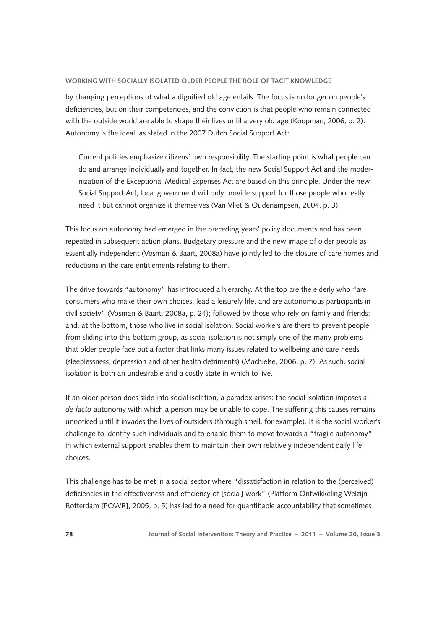#### **Working with socially isolated older people The role of tacit knowledge**

by changing perceptions of what a dignified old age entails. The focus is no longer on people's deficiencies, but on their competencies, and the conviction is that people who remain connected with the outside world are able to shape their lives until a very old age (Koopman, 2006, p. 2). Autonomy is the ideal, as stated in the 2007 Dutch Social Support Act:

Current policies emphasize citizens' own responsibility. The starting point is what people can do and arrange individually and together. In fact, the new Social Support Act and the modernization of the Exceptional Medical Expenses Act are based on this principle. Under the new Social Support Act, local government will only provide support for those people who really need it but cannot organize it themselves (Van Vliet & Oudenampsen, 2004, p. 3).

This focus on autonomy had emerged in the preceding years' policy documents and has been repeated in subsequent action plans. Budgetary pressure and the new image of older people as essentially independent (Vosman & Baart, 2008a) have jointly led to the closure of care homes and reductions in the care entitlements relating to them.

The drive towards "autonomy" has introduced a hierarchy. At the top are the elderly who "are consumers who make their own choices, lead a leisurely life, and are autonomous participants in civil society" (Vosman & Baart, 2008a, p. 24); followed by those who rely on family and friends; and, at the bottom, those who live in social isolation. Social workers are there to prevent people from sliding into this bottom group, as social isolation is not simply one of the many problems that older people face but a factor that links many issues related to wellbeing and care needs (sleeplessness, depression and other health detriments) (Machielse, 2006, p. 7). As such, social isolation is both an undesirable and a costly state in which to live.

If an older person does slide into social isolation, a paradox arises: the social isolation imposes a *de facto* autonomy with which a person may be unable to cope. The suffering this causes remains unnoticed until it invades the lives of outsiders (through smell, for example). It is the social worker's challenge to identify such individuals and to enable them to move towards a "fragile autonomy" in which external support enables them to maintain their own relatively independent daily life choices.

This challenge has to be met in a social sector where "dissatisfaction in relation to the (perceived) deficiencies in the effectiveness and efficiency of [social] work" (Platform Ontwikkeling Welzijn Rotterdam [POWR], 2005, p. 5) has led to a need for quantifiable accountability that sometimes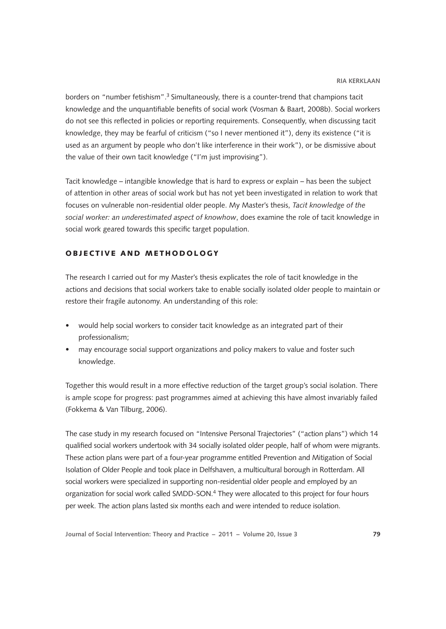borders on "number fetishism".<sup>3</sup> Simultaneously, there is a counter-trend that champions tacit knowledge and the unquantifiable benefits of social work (Vosman & Baart, 2008b). Social workers do not see this reflected in policies or reporting requirements. Consequently, when discussing tacit knowledge, they may be fearful of criticism ("so I never mentioned it"), deny its existence ("it is used as an argument by people who don't like interference in their work"), or be dismissive about the value of their own tacit knowledge ("I'm just improvising").

Tacit knowledge – intangible knowledge that is hard to express or explain – has been the subject of attention in other areas of social work but has not yet been investigated in relation to work that focuses on vulnerable non-residential older people. My Master's thesis, *Tacit knowledge of the social worker: an underestimated aspect of knowhow*, does examine the role of tacit knowledge in social work geared towards this specific target population.

## ORIECTIVE AND METHODOLOGY

The research I carried out for my Master's thesis explicates the role of tacit knowledge in the actions and decisions that social workers take to enable socially isolated older people to maintain or restore their fragile autonomy. An understanding of this role:

- would help social workers to consider tacit knowledge as an integrated part of their professionalism;
- may encourage social support organizations and policy makers to value and foster such knowledge.

Together this would result in a more effective reduction of the target group's social isolation. There is ample scope for progress: past programmes aimed at achieving this have almost invariably failed (Fokkema & Van Tilburg, 2006).

The case study in my research focused on "Intensive Personal Trajectories" ("action plans") which 14 qualified social workers undertook with 34 socially isolated older people, half of whom were migrants. These action plans were part of a four-year programme entitled Prevention and Mitigation of Social Isolation of Older People and took place in Delfshaven, a multicultural borough in Rotterdam. All social workers were specialized in supporting non-residential older people and employed by an organization for social work called SMDD-SON.<sup>4</sup> They were allocated to this project for four hours per week. The action plans lasted six months each and were intended to reduce isolation.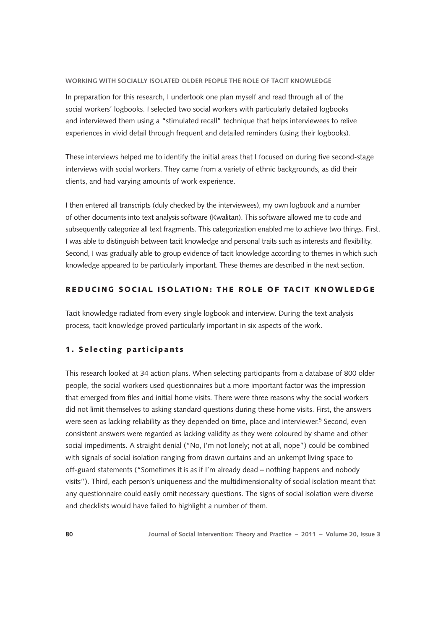#### **Working with socially isolated older people The role of tacit knowledge**

In preparation for this research, I undertook one plan myself and read through all of the social workers' logbooks. I selected two social workers with particularly detailed logbooks and interviewed them using a "stimulated recall" technique that helps interviewees to relive experiences in vivid detail through frequent and detailed reminders (using their logbooks).

These interviews helped me to identify the initial areas that I focused on during five second-stage interviews with social workers. They came from a variety of ethnic backgrounds, as did their clients, and had varying amounts of work experience.

I then entered all transcripts (duly checked by the interviewees), my own logbook and a number of other documents into text analysis software (Kwalitan). This software allowed me to code and subsequently categorize all text fragments. This categorization enabled me to achieve two things. First, I was able to distinguish between tacit knowledge and personal traits such as interests and flexibility. Second, I was gradually able to group evidence of tacit knowledge according to themes in which such knowledge appeared to be particularly important. These themes are described in the next section.

# REDUCING SOCIAL ISOLATION: THE ROLE OF TACIT KNOWLEDGE

Tacit knowledge radiated from every single logbook and interview. During the text analysis process, tacit knowledge proved particularly important in six aspects of the work.

## 1. Selecting participants

This research looked at 34 action plans. When selecting participants from a database of 800 older people, the social workers used questionnaires but a more important factor was the impression that emerged from files and initial home visits. There were three reasons why the social workers did not limit themselves to asking standard questions during these home visits. First, the answers were seen as lacking reliability as they depended on time, place and interviewer.<sup>5</sup> Second, even consistent answers were regarded as lacking validity as they were coloured by shame and other social impediments. A straight denial ("No, I'm not lonely; not at all, nope") could be combined with signals of social isolation ranging from drawn curtains and an unkempt living space to off-guard statements ("Sometimes it is as if I'm already dead – nothing happens and nobody visits"). Third, each person's uniqueness and the multidimensionality of social isolation meant that any questionnaire could easily omit necessary questions. The signs of social isolation were diverse and checklists would have failed to highlight a number of them.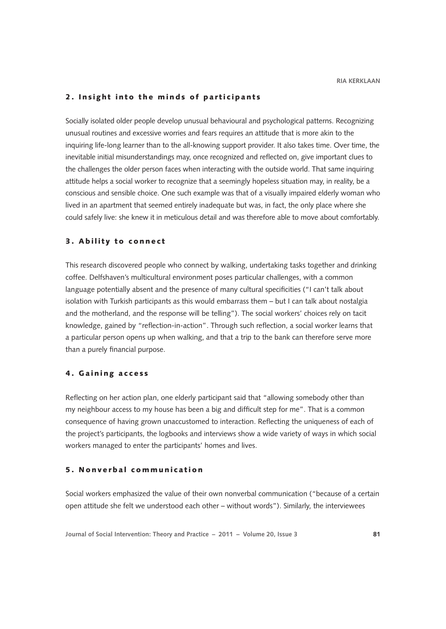## 2. Insight into the minds of participants

Socially isolated older people develop unusual behavioural and psychological patterns. Recognizing unusual routines and excessive worries and fears requires an attitude that is more akin to the inquiring life-long learner than to the all-knowing support provider. It also takes time. Over time, the inevitable initial misunderstandings may, once recognized and reflected on, give important clues to the challenges the older person faces when interacting with the outside world. That same inquiring attitude helps a social worker to recognize that a seemingly hopeless situation may, in reality, be a conscious and sensible choice. One such example was that of a visually impaired elderly woman who lived in an apartment that seemed entirely inadequate but was, in fact, the only place where she could safely live: she knew it in meticulous detail and was therefore able to move about comfortably.

## 3. A bility to connect

This research discovered people who connect by walking, undertaking tasks together and drinking coffee. Delfshaven's multicultural environment poses particular challenges, with a common language potentially absent and the presence of many cultural specificities ("I can't talk about isolation with Turkish participants as this would embarrass them – but I can talk about nostalgia and the motherland, and the response will be telling"). The social workers' choices rely on tacit knowledge, gained by "reflection-in-action". Through such reflection, a social worker learns that a particular person opens up when walking, and that a trip to the bank can therefore serve more than a purely financial purpose.

#### 4. G aining access

Reflecting on her action plan, one elderly participant said that "allowing somebody other than my neighbour access to my house has been a big and difficult step for me". That is a common consequence of having grown unaccustomed to interaction. Reflecting the uniqueness of each of the project's participants, the logbooks and interviews show a wide variety of ways in which social workers managed to enter the participants' homes and lives.

### 5. N onverbal communication

Social workers emphasized the value of their own nonverbal communication ("because of a certain open attitude she felt we understood each other – without words"). Similarly, the interviewees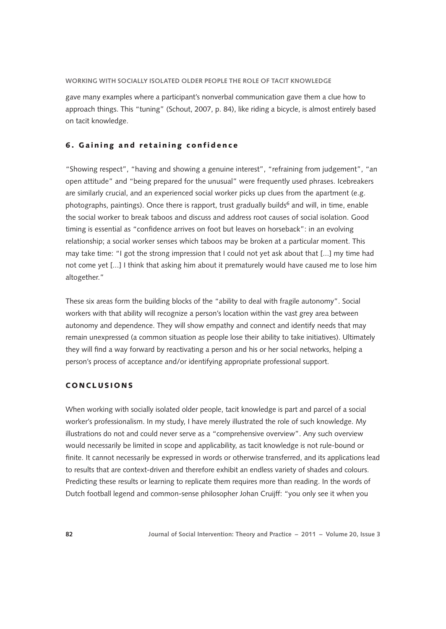#### **Working with socially isolated older people The role of tacit knowledge**

gave many examples where a participant's nonverbal communication gave them a clue how to approach things. This "tuning" (Schout, 2007, p. 84), like riding a bicycle, is almost entirely based on tacit knowledge.

#### 6. Gaining and retaining confidence

"Showing respect", "having and showing a genuine interest", "refraining from judgement", "an open attitude" and "being prepared for the unusual" were frequently used phrases. Icebreakers are similarly crucial, and an experienced social worker picks up clues from the apartment (e.g. photographs, paintings). Once there is rapport, trust gradually builds<sup>6</sup> and will, in time, enable the social worker to break taboos and discuss and address root causes of social isolation. Good timing is essential as "confidence arrives on foot but leaves on horseback": in an evolving relationship; a social worker senses which taboos may be broken at a particular moment. This may take time: "I got the strong impression that I could not yet ask about that [...] my time had not come yet [...] I think that asking him about it prematurely would have caused me to lose him altogether."

These six areas form the building blocks of the "ability to deal with fragile autonomy". Social workers with that ability will recognize a person's location within the vast grey area between autonomy and dependence. They will show empathy and connect and identify needs that may remain unexpressed (a common situation as people lose their ability to take initiatives). Ultimately they will find a way forward by reactivating a person and his or her social networks, helping a person's process of acceptance and/or identifying appropriate professional support.

# **CONCLUSIONS**

When working with socially isolated older people, tacit knowledge is part and parcel of a social worker's professionalism. In my study, I have merely illustrated the role of such knowledge. My illustrations do not and could never serve as a "comprehensive overview". Any such overview would necessarily be limited in scope and applicability, as tacit knowledge is not rule-bound or finite. It cannot necessarily be expressed in words or otherwise transferred, and its applications lead to results that are context-driven and therefore exhibit an endless variety of shades and colours. Predicting these results or learning to replicate them requires more than reading. In the words of Dutch football legend and common-sense philosopher Johan Cruijff: "you only see it when you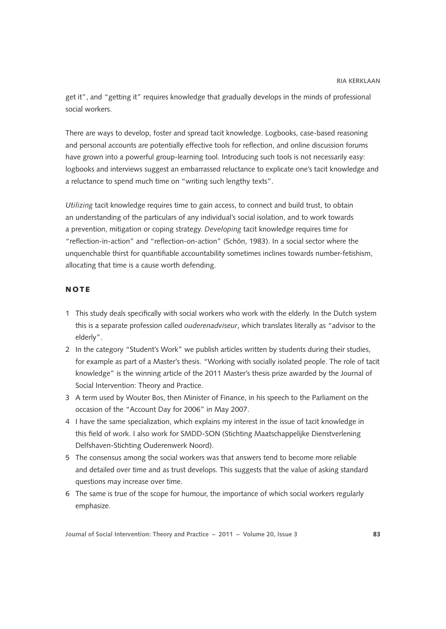get it", and "getting it" requires knowledge that gradually develops in the minds of professional social workers.

There are ways to develop, foster and spread tacit knowledge. Logbooks, case-based reasoning and personal accounts are potentially effective tools for reflection, and online discussion forums have grown into a powerful group-learning tool. Introducing such tools is not necessarily easy: logbooks and interviews suggest an embarrassed reluctance to explicate one's tacit knowledge and a reluctance to spend much time on "writing such lengthy texts".

*Utilizing* tacit knowledge requires time to gain access, to connect and build trust, to obtain an understanding of the particulars of any individual's social isolation, and to work towards a prevention, mitigation or coping strategy. *Developing* tacit knowledge requires time for "reflection-in-action" and "reflection-on-action" (Schön, 1983). In a social sector where the unquenchable thirst for quantifiable accountability sometimes inclines towards number-fetishism, allocating that time is a cause worth defending.

# NOTE

- <span id="page-6-0"></span>1 This study deals specifically with social workers who work with the elderly. In the Dutch system this is a separate profession called *ouderenadviseur*, which translates literally as "advisor to the elderly".
- <span id="page-6-1"></span>2 In the category "Student's Work" we publish articles written by students during their studies, for example as part of a Master's thesis. "Working with socially isolated people. The role of tacit knowledge" is the winning article of the 2011 Master's thesis prize awarded by the Journal of Social Intervention: Theory and Practice.
- <span id="page-6-2"></span>3 A term used by Wouter Bos, then Minister of Finance, in his speech to the Parliament on the occasion of the "Account Day for 2006" in May 2007.
- <span id="page-6-3"></span>4 I have the same specialization, which explains my interest in the issue of tacit knowledge in this field of work. I also work for SMDD-SON (Stichting Maatschappelijke Dienstverlening Delfshaven-Stichting Ouderenwerk Noord).
- <span id="page-6-4"></span>5 The consensus among the social workers was that answers tend to become more reliable and detailed over time and as trust develops. This suggests that the value of asking standard questions may increase over time.
- <span id="page-6-5"></span>6 The same is true of the scope for humour, the importance of which social workers regularly emphasize.